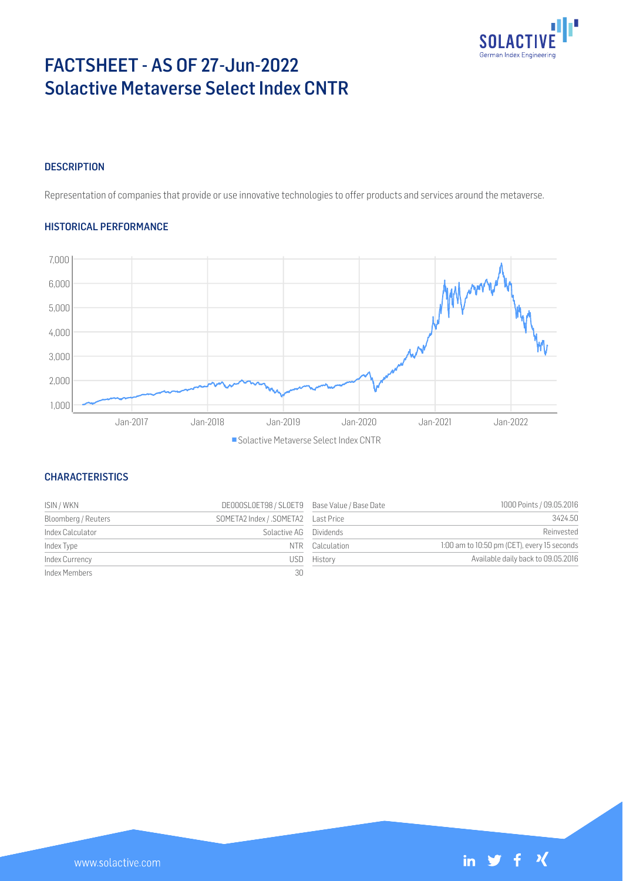

# FACTSHEET - AS OF 27-Jun-2022 Solactive Metaverse Select Index CNTR

# **DESCRIPTION**

Representation of companies that provide or use innovative technologies to offer products and services around the metaverse.

# HISTORICAL PERFORMANCE



# **CHARACTERISTICS**

| ISIN / WKN          | DE000SLOET98 / SLOET9 Base Value / Base Date |             | 1000 Points / 09.05.2016                    |
|---------------------|----------------------------------------------|-------------|---------------------------------------------|
| Bloomberg / Reuters | SOMETA2 Index / .SOMETA2    Last Price       |             | 3424.50                                     |
| Index Calculator    | Solactive AG Dividends                       |             | Reinvested                                  |
| Index Type          | NIR                                          | Calculation | 1:00 am to 10:50 pm (CET), every 15 seconds |
| Index Currency      | USD -                                        | History     | Available daily back to 09.05.2016          |
| Index Members       | 30                                           |             |                                             |

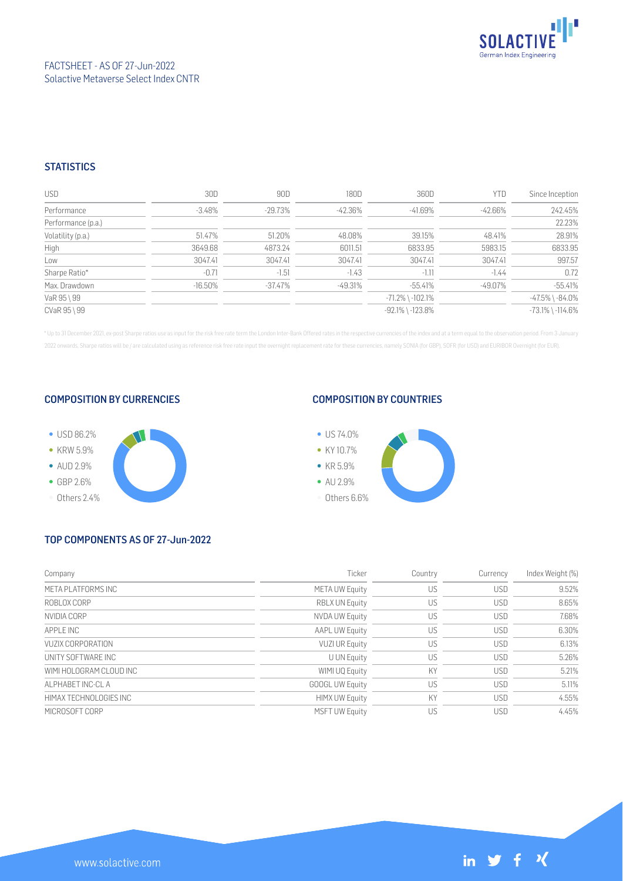

# FACTSHEET - AS OF 27-Jun-2022 Solactive Metaverse Select Index CNTR

# **STATISTICS**

| <b>USD</b>         | 30D        | 90D        | 180D      | 360D                   | YTD     | Since Inception        |
|--------------------|------------|------------|-----------|------------------------|---------|------------------------|
| Performance        | $-3.48\%$  | -29.73%    | -42.36%   | -41.69%                | -42.66% | 242.45%                |
| Performance (p.a.) |            |            |           |                        |         | 22.23%                 |
| Volatility (p.a.)  | 51.47%     | 51.20%     | 48.08%    | 39.15%                 | 48.41%  | 28.91%                 |
| High               | 3649.68    | 4873.24    | 6011.51   | 6833.95                | 5983.15 | 6833.95                |
| Low                | 3047.41    | 3047.41    | 3047.41   | 3047.41                | 3047.41 | 997.57                 |
| Sharpe Ratio*      | $-0.71$    | $-1.51$    | $-1.43$   | $-1.11$                | $-1.44$ | 0.72                   |
| Max. Drawdown      | $-16.50\%$ | $-37.47\%$ | $-49.31%$ | $-55.41%$              | -49.07% | $-55.41%$              |
| VaR 95 \ 99        |            |            |           | $-71.2\%$ \ $-102.1\%$ |         | $-47.5\%$ \ $-84.0\%$  |
| CVaR 95 \ 99       |            |            |           | $-92.1\%$ \ $-123.8\%$ |         | $-73.1\%$ \ $-114.6\%$ |

\* Up to 31 December 2021, ex-post Sharpe ratios use as input for the risk free rate term the London Inter-Bank Offered rates in the respective currencies of the index and at a term equal to the observation period. From 3 J 2022 onwards, Sharpe ratios will be / are calculated using as reference risk free rate input the overnight replacement rate for these currencies, namely SONIA (for GBP), SOFR (for USD) and EURIBOR Overnight (for EUR).

## COMPOSITION BY CURRENCIES



## COMPOSITION BY COUNTRIES



# TOP COMPONENTS AS OF 27-Jun-2022

| Company                 | Ticker                 | Country | Currency   | Index Weight (%) |
|-------------------------|------------------------|---------|------------|------------------|
| META PLATFORMS INC      | <b>META UW Equity</b>  | US      | <b>USD</b> | 9.52%            |
| ROBLOX CORP             | <b>RBLX UN Equity</b>  | US      | <b>USD</b> | 8.65%            |
| NVIDIA CORP             | NVDA UW Equity         | US      | <b>USD</b> | 7.68%            |
| APPI F INC              | <b>AAPL UW Equity</b>  | US      | <b>USD</b> | 6.30%            |
| VUZIX CORPORATION       | <b>VUZI UR Equity</b>  | US      | <b>USD</b> | 6.13%            |
| UNITY SOFTWARE INC      | <b>U UN Equity</b>     | US      | <b>USD</b> | 5.26%            |
| WIMI HOLOGRAM CLOUD INC | WIMI UQ Equity         | KY      | <b>USD</b> | 5.21%            |
| ALPHABET INC-CL A       | <b>GOOGL UW Equity</b> | US      | <b>USD</b> | 5.11%            |
| HIMAX TECHNOLOGIES INC  | <b>HIMX UW Equity</b>  | KY      | <b>USD</b> | 4.55%            |
| MICROSOFT CORP          | <b>MSFT UW Equity</b>  | US      | <b>USD</b> | 4.45%            |